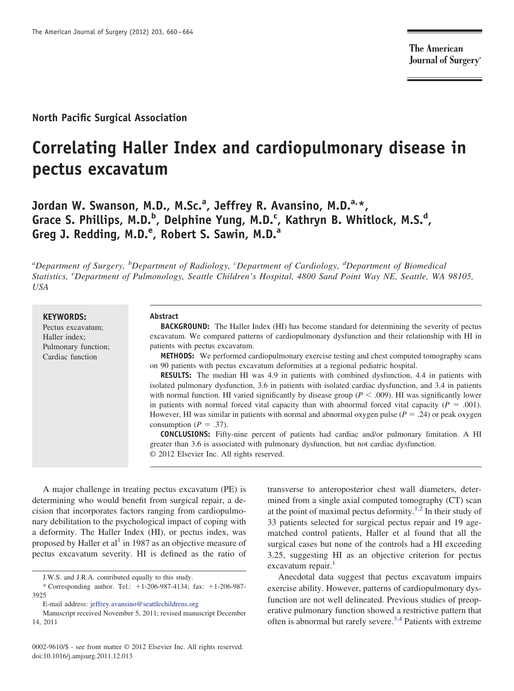**The American Journal of Surgery**<sup>®</sup>

## **North Pacific Surgical Association**

# **Correlating Haller Index and cardiopulmonary disease in pectus excavatum**

**Jordan W. Swanson, M.D., M.Sc.<sup>a</sup> , Jeffrey R. Avansino, M.D.a,\*,** Grace S. Phillips, M.D.<sup>b</sup>, Delphine Yung, M.D.<sup>c</sup>, Kathryn B. Whitlock, M.S.<sup>d</sup>, **Greg J. Redding, M.D.<sup>e</sup> , Robert S. Sawin, M.D.<sup>a</sup>**

*a Department of Surgery, <sup>b</sup> Department of Radiology, <sup>c</sup> Department of Cardiology, <sup>d</sup> Department of Biomedical Statistics, <sup>e</sup> Department of Pulmonology, Seattle Children's Hospital, 4800 Sand Point Way NE, Seattle, WA 98105, USA*

**KEYWORDS:** Pectus excavatum; Haller index; Pulmonary function; Cardiac function

#### **Abstract**

**BACKGROUND:** The Haller Index (HI) has become standard for determining the severity of pectus excavatum. We compared patterns of cardiopulmonary dysfunction and their relationship with HI in patients with pectus excavatum.

**METHODS:** We performed cardiopulmonary exercise testing and chest computed tomography scans on 90 patients with pectus excavatum deformities at a regional pediatric hospital.

**RESULTS:** The median HI was 4.9 in patients with combined dysfunction, 4.4 in patients with isolated pulmonary dysfunction, 3.6 in patients with isolated cardiac dysfunction, and 3.4 in patients with normal function. HI varied significantly by disease group ( $P < .009$ ). HI was significantly lower in patients with normal forced vital capacity than with abnormal forced vital capacity  $(P = .001)$ . However, HI was similar in patients with normal and abnormal oxygen pulse  $(P = .24)$  or peak oxygen consumption ( $P = .37$ ).

**CONCLUSIONS:** Fifty-nine percent of patients had cardiac and/or pulmonary limitation. A HI greater than 3.6 is associated with pulmonary dysfunction, but not cardiac dysfunction. © 2012 Elsevier Inc. All rights reserved.

A major challenge in treating pectus excavatum (PE) is determining who would benefit from surgical repair, a decision that incorporates factors ranging from cardiopulmonary debilitation to the psychological impact of coping with a deformity. The Haller Index (HI), or pectus index, was proposed by Haller et al<sup>[1](#page-4-0)</sup> in 1987 as an objective measure of pectus excavatum severity. HI is defined as the ratio of transverse to anteroposterior chest wall diameters, determined from a single axial computed tomography (CT) scan at the point of maximal pectus deformity.<sup>[1,2](#page-4-0)</sup> In their study of 33 patients selected for surgical pectus repair and 19 agematched control patients, Haller et al found that all the surgical cases but none of the controls had a HI exceeding 3.25, suggesting HI as an objective criterion for pectus excavatum repair.<sup>[1](#page-4-0)</sup>

Anecdotal data suggest that pectus excavatum impairs exercise ability. However, patterns of cardiopulmonary dysfunction are not well delineated. Previous studies of preoperative pulmonary function showed a restrictive pattern that often is abnormal but rarely severe.<sup>[3,4](#page-4-1)</sup> Patients with extreme

J.W.S. and J.R.A. contributed equally to this study.

<sup>\*</sup> Corresponding author. Tel.: 1-206-987-4134; fax: 1-206-987- 3925

E-mail address: [jeffrey.avansino@seattlechildrens.org](mailto:jeffrey.avansino@seattlechildrens.org)

Manuscript received November 5, 2011; revised manuscript December 14, 2011

<sup>0002-9610/\$ -</sup> see front matter © 2012 Elsevier Inc. All rights reserved. doi:10.1016/j.amjsurg.2011.12.013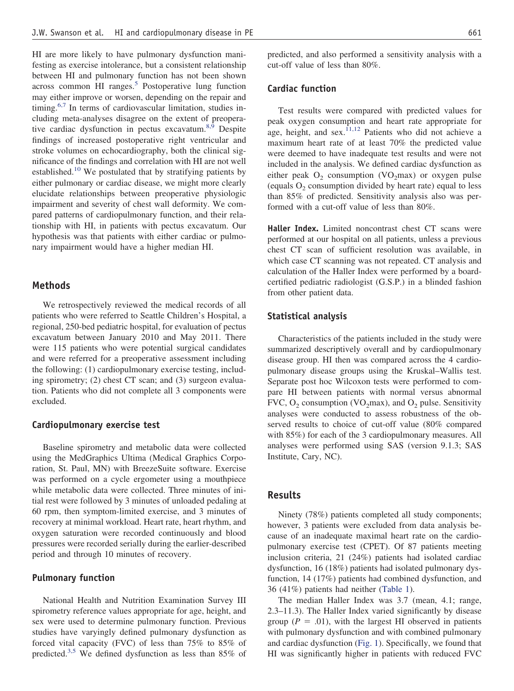HI are more likely to have pulmonary dysfunction manifesting as exercise intolerance, but a consistent relationship between HI and pulmonary function has not been shown across common HI ranges. $5$  Postoperative lung function may either improve or worsen, depending on the repair and timing.<sup>[6,7](#page-4-3)</sup> In terms of cardiovascular limitation, studies including meta-analyses disagree on the extent of preopera-tive cardiac dysfunction in pectus excavatum.<sup>[8,9](#page-4-4)</sup> Despite findings of increased postoperative right ventricular and stroke volumes on echocardiography, both the clinical significance of the findings and correlation with HI are not well established.<sup>[10](#page-4-5)</sup> We postulated that by stratifying patients by either pulmonary or cardiac disease, we might more clearly elucidate relationships between preoperative physiologic impairment and severity of chest wall deformity. We compared patterns of cardiopulmonary function, and their relationship with HI, in patients with pectus excavatum. Our hypothesis was that patients with either cardiac or pulmonary impairment would have a higher median HI.

#### **Methods**

We retrospectively reviewed the medical records of all patients who were referred to Seattle Children's Hospital, a regional, 250-bed pediatric hospital, for evaluation of pectus excavatum between January 2010 and May 2011. There were 115 patients who were potential surgical candidates and were referred for a preoperative assessment including the following: (1) cardiopulmonary exercise testing, including spirometry; (2) chest CT scan; and (3) surgeon evaluation. Patients who did not complete all 3 components were excluded.

#### **Cardiopulmonary exercise test**

Baseline spirometry and metabolic data were collected using the MedGraphics Ultima (Medical Graphics Corporation, St. Paul, MN) with BreezeSuite software. Exercise was performed on a cycle ergometer using a mouthpiece while metabolic data were collected. Three minutes of initial rest were followed by 3 minutes of unloaded pedaling at 60 rpm, then symptom-limited exercise, and 3 minutes of recovery at minimal workload. Heart rate, heart rhythm, and oxygen saturation were recorded continuously and blood pressures were recorded serially during the earlier-described period and through 10 minutes of recovery.

#### **Pulmonary function**

National Health and Nutrition Examination Survey III spirometry reference values appropriate for age, height, and sex were used to determine pulmonary function. Previous studies have varyingly defined pulmonary dysfunction as forced vital capacity (FVC) of less than 75% to 85% of predicted.[3,5](#page-4-1) We defined dysfunction as less than 85% of predicted, and also performed a sensitivity analysis with a cut-off value of less than 80%.

## **Cardiac function**

Test results were compared with predicted values for peak oxygen consumption and heart rate appropriate for age, height, and  $sex.$ <sup>[11,12](#page-4-6)</sup> Patients who did not achieve a maximum heart rate of at least 70% the predicted value were deemed to have inadequate test results and were not included in the analysis. We defined cardiac dysfunction as either peak  $O_2$  consumption (VO<sub>2</sub>max) or oxygen pulse (equals  $O_2$  consumption divided by heart rate) equal to less than 85% of predicted. Sensitivity analysis also was performed with a cut-off value of less than 80%.

**Haller Index.** Limited noncontrast chest CT scans were performed at our hospital on all patients, unless a previous chest CT scan of sufficient resolution was available, in which case CT scanning was not repeated. CT analysis and calculation of the Haller Index were performed by a boardcertified pediatric radiologist (G.S.P.) in a blinded fashion from other patient data.

### **Statistical analysis**

Characteristics of the patients included in the study were summarized descriptively overall and by cardiopulmonary disease group. HI then was compared across the 4 cardiopulmonary disease groups using the Kruskal–Wallis test. Separate post hoc Wilcoxon tests were performed to compare HI between patients with normal versus abnormal FVC,  $O_2$  consumption (VO<sub>2</sub>max), and  $O_2$  pulse. Sensitivity analyses were conducted to assess robustness of the observed results to choice of cut-off value (80% compared with 85%) for each of the 3 cardiopulmonary measures. All analyses were performed using SAS (version 9.1.3; SAS Institute, Cary, NC).

## **Results**

Ninety (78%) patients completed all study components; however, 3 patients were excluded from data analysis because of an inadequate maximal heart rate on the cardiopulmonary exercise test (CPET). Of 87 patients meeting inclusion criteria, 21 (24%) patients had isolated cardiac dysfunction, 16 (18%) patients had isolated pulmonary dysfunction, 14 (17%) patients had combined dysfunction, and 36 (41%) patients had neither [\(Table 1\)](#page-2-0).

The median Haller Index was 3.7 (mean, 4.1; range, 2.3–11.3). The Haller Index varied significantly by disease group ( $P = .01$ ), with the largest HI observed in patients with pulmonary dysfunction and with combined pulmonary and cardiac dysfunction [\(Fig. 1\)](#page-2-1). Specifically, we found that HI was significantly higher in patients with reduced FVC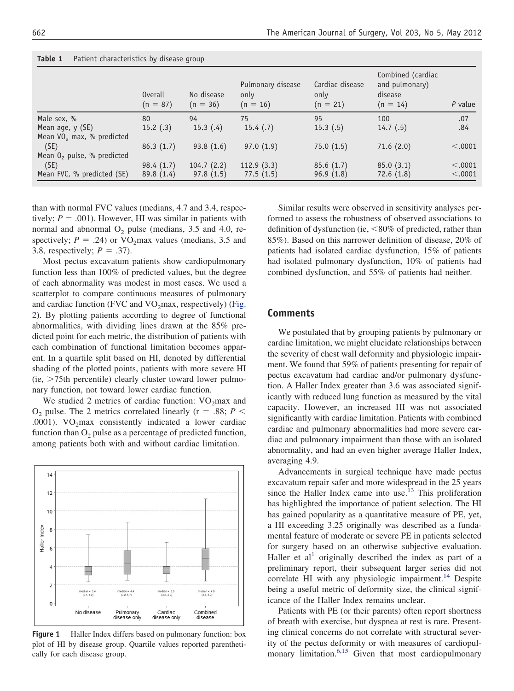|                                                           | Overall<br>$(n = 87)$ | No disease<br>$(n = 36)$ | Pulmonary disease<br>only<br>$(n = 16)$ | Cardiac disease<br>only<br>$(n = 21)$ | Combined (cardiac)<br>and pulmonary)<br>disease<br>$(n = 14)$ | $P$ value |
|-----------------------------------------------------------|-----------------------|--------------------------|-----------------------------------------|---------------------------------------|---------------------------------------------------------------|-----------|
| Male sex, %                                               | 80                    | 94                       | 75                                      | 95                                    | 100                                                           | .07       |
| Mean age, y (SE)<br>Mean VO <sub>2</sub> max, % predicted | 15.2(.3)              | 15.3(4)                  | 15.4(.7)                                | 15.3(.5)                              | 14.7(0.5)                                                     | .84       |
| (SE)                                                      | 86.3(1.7)             | 93.8(1.6)                | 97.0(1.9)                               | 75.0(1.5)                             | 71.6(2.0)                                                     | < .0001   |
| Mean $02$ pulse, % predicted                              |                       |                          |                                         |                                       |                                                               |           |
| (SE)                                                      | 98.4(1.7)             | 104.7(2.2)               | 112.9(3.3)                              | 85.6(1.7)                             | 85.0(3.1)                                                     | < .0001   |
| Mean FVC, % predicted (SE)                                | 89.8(1.4)             | 97.8(1.5)                | 77.5(1.5)                               | 96.9(1.8)                             | 72.6(1.8)                                                     | < .0001   |

<span id="page-2-0"></span>**Table 1** Patient characteristics by disease group

than with normal FVC values (medians, 4.7 and 3.4, respectively;  $P = .001$ ). However, HI was similar in patients with normal and abnormal  $O_2$  pulse (medians, 3.5 and 4.0, respectively;  $P = .24$ ) or VO<sub>2</sub>max values (medians, 3.5 and 3.8, respectively;  $P = .37$ ).

Most pectus excavatum patients show cardiopulmonary function less than 100% of predicted values, but the degree of each abnormality was modest in most cases. We used a scatterplot to compare continuous measures of pulmonary and cardiac function (FVC and  $VO<sub>2</sub>$ max, respectively) [\(Fig.](#page-3-0) [2\)](#page-3-0). By plotting patients according to degree of functional abnormalities, with dividing lines drawn at the 85% predicted point for each metric, the distribution of patients with each combination of functional limitation becomes apparent. In a quartile split based on HI, denoted by differential shading of the plotted points, patients with more severe HI  $(ie, > 75th$  percentile) clearly cluster toward lower pulmonary function, not toward lower cardiac function.

We studied 2 metrics of cardiac function:  $VO<sub>2</sub>$  max and  $O_2$  pulse. The 2 metrics correlated linearly ( $r = .88; P <$ .0001).  $VO<sub>2</sub>max$  consistently indicated a lower cardiac function than  $O_2$  pulse as a percentage of predicted function, among patients both with and without cardiac limitation.



<span id="page-2-1"></span>**Figure 1** Haller Index differs based on pulmonary function: box plot of HI by disease group. Quartile values reported parenthetically for each disease group.

Similar results were observed in sensitivity analyses performed to assess the robustness of observed associations to definition of dysfunction (ie,  $< 80\%$  of predicted, rather than 85%). Based on this narrower definition of disease, 20% of patients had isolated cardiac dysfunction, 15% of patients had isolated pulmonary dysfunction, 10% of patients had combined dysfunction, and 55% of patients had neither.

## **Comments**

We postulated that by grouping patients by pulmonary or cardiac limitation, we might elucidate relationships between the severity of chest wall deformity and physiologic impairment. We found that 59% of patients presenting for repair of pectus excavatum had cardiac and/or pulmonary dysfunction. A Haller Index greater than 3.6 was associated significantly with reduced lung function as measured by the vital capacity. However, an increased HI was not associated significantly with cardiac limitation. Patients with combined cardiac and pulmonary abnormalities had more severe cardiac and pulmonary impairment than those with an isolated abnormality, and had an even higher average Haller Index, averaging 4.9.

Advancements in surgical technique have made pectus excavatum repair safer and more widespread in the 25 years since the Haller Index came into use.<sup>13</sup> This proliferation has highlighted the importance of patient selection. The HI has gained popularity as a quantitative measure of PE, yet, a HI exceeding 3.25 originally was described as a fundamental feature of moderate or severe PE in patients selected for surgery based on an otherwise subjective evaluation. Haller et  $al<sup>1</sup>$  $al<sup>1</sup>$  $al<sup>1</sup>$  originally described the index as part of a preliminary report, their subsequent larger series did not correlate HI with any physiologic impairment.<sup>[14](#page-4-8)</sup> Despite being a useful metric of deformity size, the clinical significance of the Haller Index remains unclear.

Patients with PE (or their parents) often report shortness of breath with exercise, but dyspnea at rest is rare. Presenting clinical concerns do not correlate with structural severity of the pectus deformity or with measures of cardiopul-monary limitation.<sup>[6,15](#page-4-3)</sup> Given that most cardiopulmonary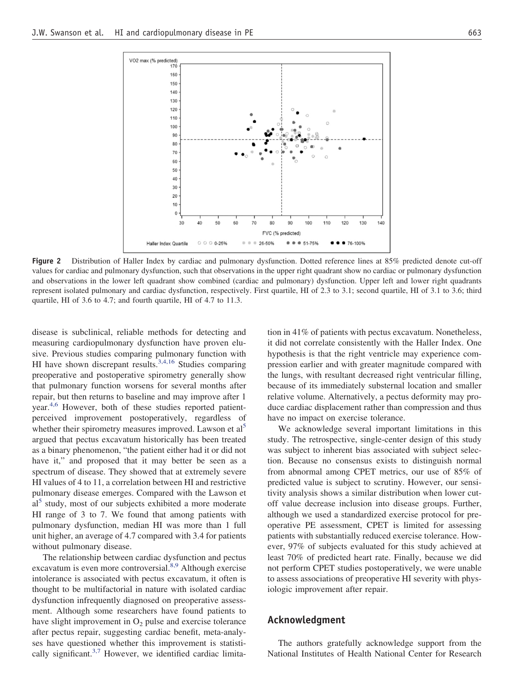

<span id="page-3-0"></span>**Figure 2** Distribution of Haller Index by cardiac and pulmonary dysfunction. Dotted reference lines at 85% predicted denote cut-off values for cardiac and pulmonary dysfunction, such that observations in the upper right quadrant show no cardiac or pulmonary dysfunction and observations in the lower left quadrant show combined (cardiac and pulmonary) dysfunction. Upper left and lower right quadrants represent isolated pulmonary and cardiac dysfunction, respectively. First quartile, HI of 2.3 to 3.1; second quartile, HI of 3.1 to 3.6; third quartile, HI of 3.6 to 4.7; and fourth quartile, HI of 4.7 to 11.3.

disease is subclinical, reliable methods for detecting and measuring cardiopulmonary dysfunction have proven elusive. Previous studies comparing pulmonary function with HI have shown discrepant results.<sup>3,4,16</sup> Studies comparing preoperative and postoperative spirometry generally show that pulmonary function worsens for several months after repair, but then returns to baseline and may improve after 1 year.[4,6](#page-4-9) However, both of these studies reported patientperceived improvement postoperatively, regardless of whether their spirometry measures improved. Lawson et al<sup>5</sup> argued that pectus excavatum historically has been treated as a binary phenomenon, "the patient either had it or did not have it," and proposed that it may better be seen as a spectrum of disease. They showed that at extremely severe HI values of 4 to 11, a correlation between HI and restrictive pulmonary disease emerges. Compared with the Lawson et al<sup>[5](#page-4-2)</sup> study, most of our subjects exhibited a more moderate HI range of 3 to 7. We found that among patients with pulmonary dysfunction, median HI was more than 1 full unit higher, an average of 4.7 compared with 3.4 for patients without pulmonary disease.

The relationship between cardiac dysfunction and pectus excavatum is even more controversial.<sup>[8,9](#page-4-4)</sup> Although exercise intolerance is associated with pectus excavatum, it often is thought to be multifactorial in nature with isolated cardiac dysfunction infrequently diagnosed on preoperative assessment. Although some researchers have found patients to have slight improvement in  $O_2$  pulse and exercise tolerance after pectus repair, suggesting cardiac benefit, meta-analyses have questioned whether this improvement is statistically significant. $3,7$  However, we identified cardiac limitation in 41% of patients with pectus excavatum. Nonetheless, it did not correlate consistently with the Haller Index. One hypothesis is that the right ventricle may experience compression earlier and with greater magnitude compared with the lungs, with resultant decreased right ventricular filling, because of its immediately substernal location and smaller relative volume. Alternatively, a pectus deformity may produce cardiac displacement rather than compression and thus have no impact on exercise tolerance.

We acknowledge several important limitations in this study. The retrospective, single-center design of this study was subject to inherent bias associated with subject selection. Because no consensus exists to distinguish normal from abnormal among CPET metrics, our use of 85% of predicted value is subject to scrutiny. However, our sensitivity analysis shows a similar distribution when lower cutoff value decrease inclusion into disease groups. Further, although we used a standardized exercise protocol for preoperative PE assessment, CPET is limited for assessing patients with substantially reduced exercise tolerance. However, 97% of subjects evaluated for this study achieved at least 70% of predicted heart rate. Finally, because we did not perform CPET studies postoperatively, we were unable to assess associations of preoperative HI severity with physiologic improvement after repair.

#### **Acknowledgment**

The authors gratefully acknowledge support from the National Institutes of Health National Center for Research